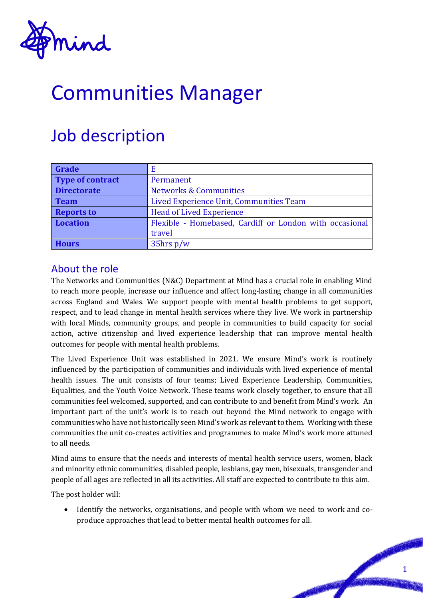

# Communities Manager

## Job description

| Grade                   | E                                                       |
|-------------------------|---------------------------------------------------------|
| <b>Type of contract</b> | Permanent                                               |
| <b>Directorate</b>      | <b>Networks &amp; Communities</b>                       |
| <b>Team</b>             | Lived Experience Unit, Communities Team                 |
| <b>Reports to</b>       | <b>Head of Lived Experience</b>                         |
| <b>Location</b>         | Flexible - Homebased, Cardiff or London with occasional |
|                         | travel                                                  |
| <b>Hours</b>            | $35$ hrs p/w                                            |

#### About the role

The Networks and Communities (N&C) Department at Mind has a crucial role in enabling Mind to reach more people, increase our influence and affect long-lasting change in all communities across England and Wales. We support people with mental health problems to get support, respect, and to lead change in mental health services where they live. We work in partnership with local Minds, community groups, and people in communities to build capacity for social action, active citizenship and lived experience leadership that can improve mental health outcomes for people with mental health problems.

The Lived Experience Unit was established in 2021. We ensure Mind's work is routinely influenced by the participation of communities and individuals with lived experience of mental health issues. The unit consists of four teams; Lived Experience Leadership, Communities, Equalities, and the Youth Voice Network. These teams work closely together, to ensure that all communities feel welcomed, supported, and can contribute to and benefit from Mind's work. An important part of the unit's work is to reach out beyond the Mind network to engage with communities who have not historically seen Mind's work as relevant to them. Working with these communities the unit co-creates activities and programmes to make Mind's work more attuned to all needs.

Mind aims to ensure that the needs and interests of mental health service users, women, black and minority ethnic communities, disabled people, lesbians, gay men, bisexuals, transgender and people of all ages are reflected in all its activities. All staff are expected to contribute to this aim.

The post holder will:

• Identify the networks, organisations, and people with whom we need to work and coproduce approaches that lead to better mental health outcomes for all.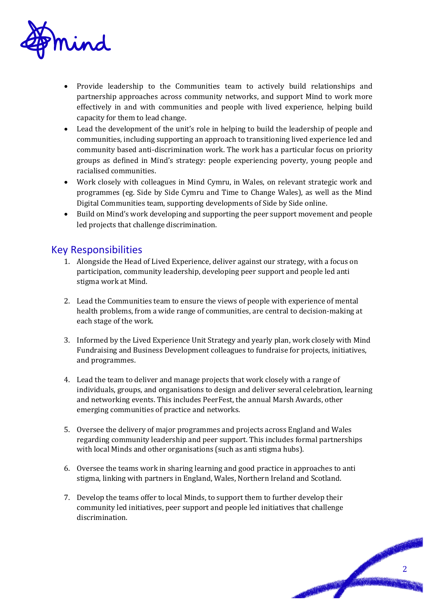

- Provide leadership to the Communities team to actively build relationships and partnership approaches across community networks, and support Mind to work more effectively in and with communities and people with lived experience, helping build capacity for them to lead change.
- Lead the development of the unit's role in helping to build the leadership of people and communities, including supporting an approach to transitioning lived experience led and community based anti-discrimination work. The work has a particular focus on priority groups as defined in Mind's strategy: people experiencing poverty, young people and racialised communities.
- Work closely with colleagues in Mind Cymru, in Wales, on relevant strategic work and programmes (eg. Side by Side Cymru and Time to Change Wales), as well as the Mind Digital Communities team, supporting developments of Side by Side online.
- Build on Mind's work developing and supporting the peer support movement and people led projects that challenge discrimination.

#### Key Responsibilities

- 1. Alongside the Head of Lived Experience, deliver against our strategy, with a focus on participation, community leadership, developing peer support and people led anti stigma work at Mind.
- 2. Lead the Communities team to ensure the views of people with experience of mental health problems, from a wide range of communities, are central to decision-making at each stage of the work.
- 3. Informed by the Lived Experience Unit Strategy and yearly plan, work closely with Mind Fundraising and Business Development colleagues to fundraise for projects, initiatives, and programmes.
- 4. Lead the team to deliver and manage projects that work closely with a range of individuals, groups, and organisations to design and deliver several celebration, learning and networking events. This includes PeerFest, the annual Marsh Awards, other emerging communities of practice and networks.
- 5. Oversee the delivery of major programmes and projects across England and Wales regarding community leadership and peer support. This includes formal partnerships with local Minds and other organisations (such as anti stigma hubs).
- 6. Oversee the teams work in sharing learning and good practice in approaches to anti stigma, linking with partners in England, Wales, Northern Ireland and Scotland.
- 7. Develop the teams offer to local Minds, to support them to further develop their community led initiatives, peer support and people led initiatives that challenge discrimination.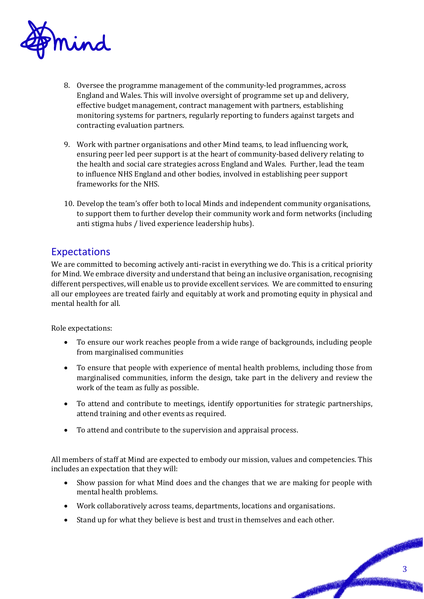

- 8. Oversee the programme management of the community-led programmes, across England and Wales. This will involve oversight of programme set up and delivery, effective budget management, contract management with partners, establishing monitoring systems for partners, regularly reporting to funders against targets and contracting evaluation partners.
- 9. Work with partner organisations and other Mind teams, to lead influencing work, ensuring peer led peer support is at the heart of community-based delivery relating to the health and social care strategies across England and Wales. Further, lead the team to influence NHS England and other bodies, involved in establishing peer support frameworks for the NHS.
- 10. Develop the team's offer both to local Minds and independent community organisations, to support them to further develop their community work and form networks (including anti stigma hubs / lived experience leadership hubs).

#### Expectations

We are committed to becoming actively anti-racist in everything we do. This is a critical priority for Mind. We embrace diversity and understand that being an inclusive organisation, recognising different perspectives, will enable us to provide excellent services. We are committed to ensuring all our employees are treated fairly and equitably at work and promoting equity in physical and mental health for all.

Role expectations:

- To ensure our work reaches people from a wide range of backgrounds, including people from marginalised communities
- To ensure that people with experience of mental health problems, including those from marginalised communities, inform the design, take part in the delivery and review the work of the team as fully as possible.
- To attend and contribute to meetings, identify opportunities for strategic partnerships, attend training and other events as required.
- To attend and contribute to the supervision and appraisal process.

All members of staff at Mind are expected to embody our mission, values and competencies. This includes an expectation that they will:

- Show passion for what Mind does and the changes that we are making for people with mental health problems.
- Work collaboratively across teams, departments, locations and organisations.
- Stand up for what they believe is best and trust in themselves and each other.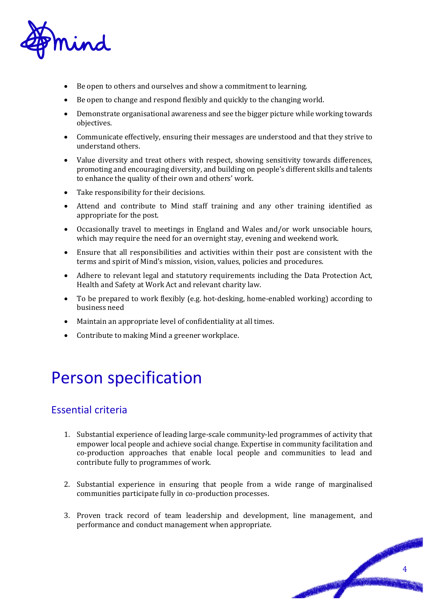

- Be open to others and ourselves and show a commitment to learning.
- Be open to change and respond flexibly and quickly to the changing world.
- Demonstrate organisational awareness and see the bigger picture while working towards objectives.
- Communicate effectively, ensuring their messages are understood and that they strive to understand others.
- Value diversity and treat others with respect, showing sensitivity towards differences, promoting and encouraging diversity, and building on people's different skills and talents to enhance the quality of their own and others' work.
- Take responsibility for their decisions.
- Attend and contribute to Mind staff training and any other training identified as appropriate for the post.
- Occasionally travel to meetings in England and Wales and/or work unsociable hours, which may require the need for an overnight stay, evening and weekend work.
- Ensure that all responsibilities and activities within their post are consistent with the terms and spirit of Mind's mission, vision, values, policies and procedures.
- Adhere to relevant legal and statutory requirements including the Data Protection Act, Health and Safety at Work Act and relevant charity law.
- To be prepared to work flexibly (e.g. hot-desking, home-enabled working) according to business need
- Maintain an appropriate level of confidentiality at all times.
- Contribute to making Mind a greener workplace.

### Person specification

#### Essential criteria

- 1. Substantial experience of leading large-scale community-led programmes of activity that empower local people and achieve social change. Expertise in community facilitation and co-production approaches that enable local people and communities to lead and contribute fully to programmes of work.
- 2. Substantial experience in ensuring that people from a wide range of marginalised communities participate fully in co-production processes.
- 3. Proven track record of team leadership and development, line management, and performance and conduct management when appropriate.

PASSED BY